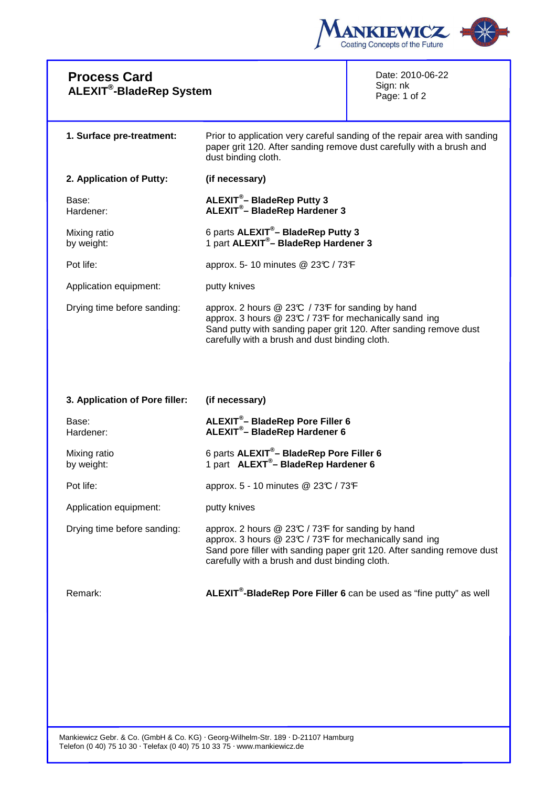

| <b>Process Card</b><br><b>ALEXIT<sup>®</sup>-BladeRep System</b> |                                                                                                                                                                                                                                     | Date: 2010-06-22<br>Sign: nk<br>Page: 1 of 2 |
|------------------------------------------------------------------|-------------------------------------------------------------------------------------------------------------------------------------------------------------------------------------------------------------------------------------|----------------------------------------------|
| 1. Surface pre-treatment:                                        | Prior to application very careful sanding of the repair area with sanding<br>paper grit 120. After sanding remove dust carefully with a brush and<br>dust binding cloth.                                                            |                                              |
| 2. Application of Putty:                                         | (if necessary)                                                                                                                                                                                                                      |                                              |
| Base:<br>Hardener:                                               | ALEXIT <sup>®</sup> - BladeRep Putty 3<br>ALEXIT <sup>®</sup> - BladeRep Hardener 3                                                                                                                                                 |                                              |
| Mixing ratio<br>by weight:                                       | 6 parts ALEXIT <sup>®</sup> - BladeRep Putty 3<br>1 part ALEXIT <sup>®</sup> - BladeRep Hardener 3                                                                                                                                  |                                              |
| Pot life:                                                        | approx. 5- 10 minutes @ 23°C / 73°F                                                                                                                                                                                                 |                                              |
| Application equipment:                                           | putty knives                                                                                                                                                                                                                        |                                              |
| Drying time before sanding:                                      | approx. 2 hours @ 23°C / 73°F for sanding by hand<br>approx. 3 hours @ 23°C / 73°F for mechanically sand ing<br>Sand putty with sanding paper grit 120. After sanding remove dust<br>carefully with a brush and dust binding cloth. |                                              |
|                                                                  |                                                                                                                                                                                                                                     |                                              |
| 3. Application of Pore filler:                                   | (if necessary)                                                                                                                                                                                                                      |                                              |
| Base:<br>Hardener:                                               | ALEXIT <sup>®</sup> -BladeRep Pore Filler 6<br><b>ALEXIT<sup>®</sup>-BladeRep Hardener 6</b>                                                                                                                                        |                                              |
| Mixing ratio<br>by weight:                                       | 6 parts ALEXIT <sup>®</sup> - BladeRep Pore Filler 6<br>1 part ALEXT <sup>®</sup> -BladeRep Hardener 6                                                                                                                              |                                              |
| Pot life:                                                        | approx. 5 - 10 minutes @ 23°C / 73°F                                                                                                                                                                                                |                                              |
| Application equipment:                                           | putty knives                                                                                                                                                                                                                        |                                              |
| Drving time before sanding:                                      | approx 2 hours $@23C/73F$ for sanding by hand                                                                                                                                                                                       |                                              |

Drying time before sanding: approx. 2 hours  $@$  23°C / 73°F for sanding by hand approx. 3 hours @ 23°C / 73°F for mechanically sand ing Sand pore filler with sanding paper grit 120. After sanding remove dust carefully with a brush and dust binding cloth.

Remark: **ALEXIT® -BladeRep Pore Filler 6** can be used as "fine putty" as well